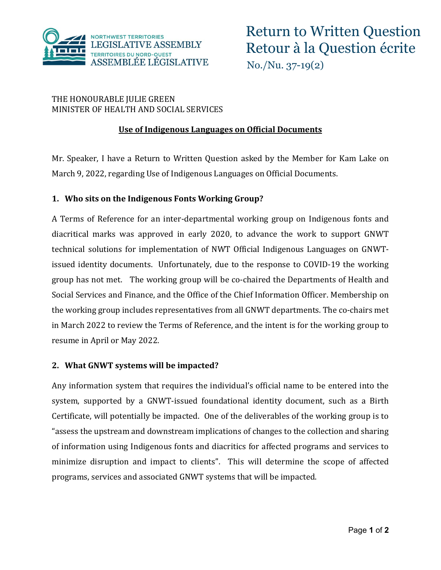

# THE HONOURABLE JULIE GREEN MINISTER OF HEALTH AND SOCIAL SERVICES

# **Use of Indigenous Languages on Official Documents**

Mr. Speaker, I have a Return to Written Question asked by the Member for Kam Lake on March 9, 2022, regarding Use of Indigenous Languages on Official Documents.

## **1. Who sits on the Indigenous Fonts Working Group?**

A Terms of Reference for an inter-departmental working group on Indigenous fonts and diacritical marks was approved in early 2020, to advance the work to support GNWT technical solutions for implementation of NWT Official Indigenous Languages on GNWTissued identity documents. Unfortunately, due to the response to COVID-19 the working group has not met. The working group will be co-chaired the Departments of Health and Social Services and Finance, and the Office of the Chief Information Officer. Membership on the working group includes representatives from all GNWT departments. The co-chairs met in March 2022 to review the Terms of Reference, and the intent is for the working group to resume in April or May 2022.

#### **2. What GNWT systems will be impacted?**

Any information system that requires the individual's official name to be entered into the system, supported by a GNWT-issued foundational identity document, such as a Birth Certificate, will potentially be impacted. One of the deliverables of the working group is to "assess the upstream and downstream implications of changes to the collection and sharing of information using Indigenous fonts and diacritics for affected programs and services to minimize disruption and impact to clients". This will determine the scope of affected programs, services and associated GNWT systems that will be impacted.